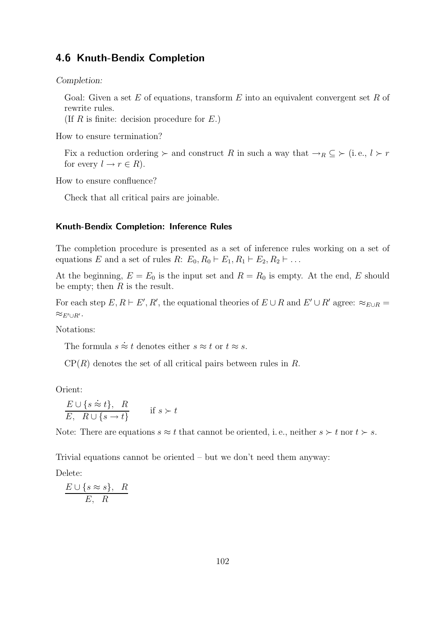## 4.6 Knuth-Bendix Completion

*Completion:*

Goal: Given a set  $E$  of equations, transform  $E$  into an equivalent convergent set  $R$  of rewrite rules.

(If  $R$  is finite: decision procedure for  $E$ .)

How to ensure termination?

Fix a reduction ordering  $\succ$  and construct R in such a way that  $\rightarrow_R \subseteq \succ$  (i.e.,  $l \succ r$ ) for every  $l \to r \in R$ ).

How to ensure confluence?

Check that all critical pairs are joinable.

## Knuth-Bendix Completion: Inference Rules

The completion procedure is presented as a set of inference rules working on a set of equations E and a set of rules R:  $E_0, R_0 \vdash E_1, R_1 \vdash E_2, R_2 \vdash \dots$ 

At the beginning,  $E = E_0$  is the input set and  $R = R_0$  is empty. At the end, E should be empty; then  $R$  is the result.

For each step  $E, R \vdash E', R'$ , the equational theories of  $E \cup R$  and  $E' \cup R'$  agree:  $\approx_{E \cup R}$  $\approx_{E'\cup R'}$ .

Notations:

The formula  $s \approx t$  denotes either  $s \approx t$  or  $t \approx s$ . .

 $\mathcal{CP}(R)$  denotes the set of all critical pairs between rules in R.

Orient:

$$
E \cup \{s \approx t\}, R
$$
  
\n
$$
E, R \cup \{s \rightarrow t\}
$$
 if  $s > t$ 

Note: There are equations  $s \approx t$  that cannot be oriented, i.e., neither  $s \succ t$  nor  $t \succ s$ .

Trivial equations cannot be oriented – but we don't need them anyway:

Delete:

 $E \cup \{s \approx s\}, R$ E, R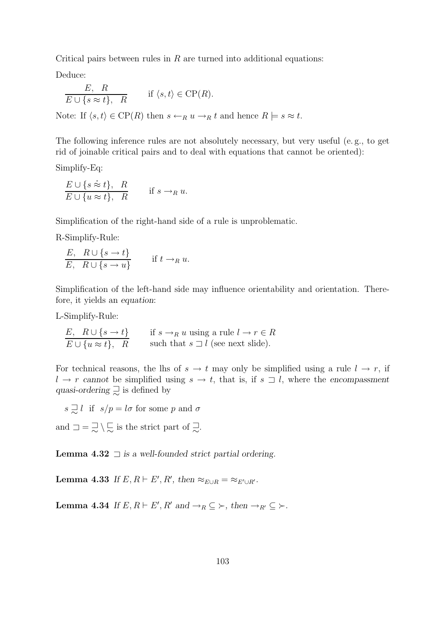Critical pairs between rules in  $R$  are turned into additional equations:

Deduce:

$$
\frac{E, R}{E \cup \{s \approx t\}, R} \quad \text{if } \langle s, t \rangle \in \text{CP}(R).
$$
  
Note: If  $\langle s, t \rangle \in \text{CP}(R)$  then  $s \leftarrow_R u \rightarrow_R t$  and hence  $R \models s \approx t$ .

The following inference rules are not absolutely necessary, but very useful (e. g., to get rid of joinable critical pairs and to deal with equations that cannot be oriented):

Simplify-Eq: .

$$
\frac{E \cup \{s \approx t\}, R}{E \cup \{u \approx t\}, R} \quad \text{if } s \to_R u.
$$

Simplification of the right-hand side of a rule is unproblematic.

R-Simplify-Rule:

$$
\frac{E, R \cup \{s \to t\}}{E, R \cup \{s \to u\}} \quad \text{if } t \to_R u.
$$

Simplification of the left-hand side may influence orientability and orientation. Therefore, it yields an *equation*:

L-Simplify-Rule:

$$
\frac{E, R \cup \{s \to t\}}{E \cup \{u \approx t\}, R} \qquad \text{if } s \to_R u \text{ using a rule } l \to r \in R
$$
\n
$$
\text{such that } s \sqsupset l \text{ (see next slide).}
$$

For technical reasons, the lhs of  $s \to t$  may only be simplified using a rule  $l \to r$ , if  $l \rightarrow r$  *cannot* be simplified using  $s \rightarrow t$ , that is, if  $s \rightarrow l$ , where the *encompassment* quasi-ordering  $\supsetneq$  is defined by

 $s \supsetneq l$  if  $s/p = l\sigma$  for some p and  $\sigma$ 

and  $\Box = \overline{\Box} \setminus \overline{\Box}$  is the strict part of  $\overline{\Box}$ .

Lemma 4.32 ⊐ *is a well-founded strict partial ordering.*

**Lemma 4.33** *If*  $E, R \vdash E', R'$ , then  $\approx_{E \cup R} = \approx_{E' \cup R'}$ .

Lemma 4.34 *If*  $E, R \vdash E', R'$  and  $\rightarrow_R \subseteq \succ$ *, then*  $\rightarrow_{R'} \subseteq \succ$ *.*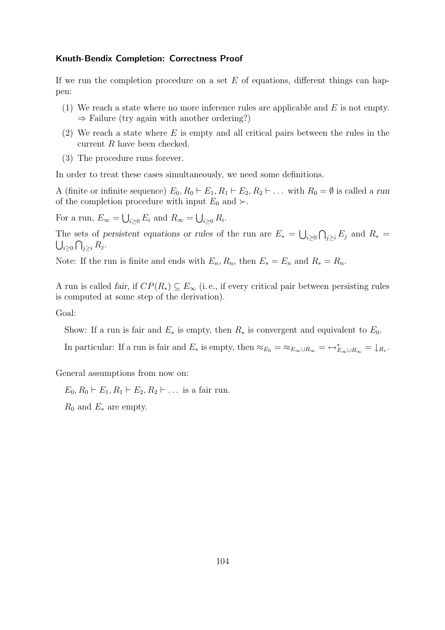## Knuth-Bendix Completion: Correctness Proof

If we run the completion procedure on a set  $E$  of equations, different things can happen:

- (1) We reach a state where no more inference rules are applicable and  $E$  is not empty.  $\Rightarrow$  Failure (try again with another ordering?)
- (2) We reach a state where  $E$  is empty and all critical pairs between the rules in the current R have been checked.
- (3) The procedure runs forever.

In order to treat these cases simultaneously, we need some definitions.

A (finite or infinite sequence)  $E_0, R_0 \vdash E_1, R_1 \vdash E_2, R_2 \vdash \dots$  with  $R_0 = \emptyset$  is called a *run* of the completion procedure with input  $E_0$  and ≻.

For a run,  $E_{\infty} = \bigcup_{i \geq 0} E_i$  and  $R_{\infty} = \bigcup_{i \geq 0} R_i$ .

The sets of *persistent equations or rules* of the run are  $E_* = \bigcup_{i \geq 0} \bigcap_{j \geq i} E_j$  and  $R_* =$  $\bigcup_{i\geq 0}\bigcap_{j\geq i}R_j.$ 

Note: If the run is finite and ends with  $E_n, R_n$ , then  $E_* = E_n$  and  $R_* = R_n$ .

A run is called *fair*, if  $CP(R_*) \subseteq E_\infty$  (i.e., if every critical pair between persisting rules is computed at some step of the derivation).

Goal:

Show: If a run is fair and  $E_*$  is empty, then  $R_*$  is convergent and equivalent to  $E_0$ .

In particular: If a run is fair and  $E_*$  is empty, then  $\approx_{E_0} = \approx_{E_{\infty} \cup R_{\infty}} = \leftrightarrow_{E_{\infty} \cup R_{\infty}}^* = \downarrow_{R_*}$ .

General assumptions from now on:

 $E_0, R_0 \vdash E_1, R_1 \vdash E_2, R_2 \vdash \dots$  is a fair run.

 $R_0$  and  $E_*$  are empty.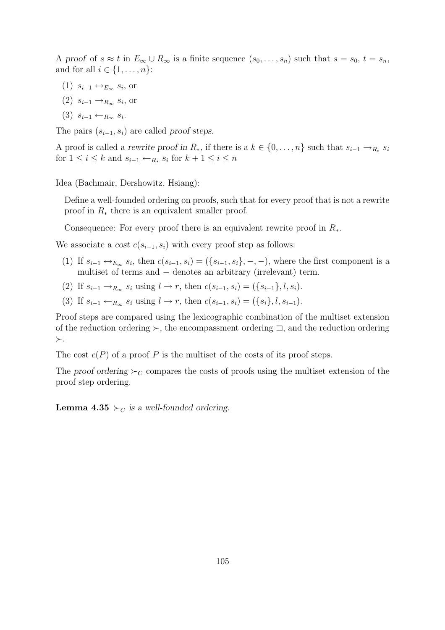A proof of  $s \approx t$  in  $E_{\infty} \cup R_{\infty}$  is a finite sequence  $(s_0, \ldots, s_n)$  such that  $s = s_0, t = s_n$ , and for all  $i \in \{1, \ldots, n\}$ :

- $(1)$   $s_{i-1} \leftrightarrow_{E_{\infty}} s_i$ , or
- $(2)$   $s_{i-1} \rightarrow_{R_{\infty}} s_i$ , or
- $(3)$   $s_{i-1} \leftarrow_{R_{\infty}} s_i$ .

The pairs  $(s_{i-1}, s_i)$  are called *proof steps.* 

A proof is called a *rewrite proof in*  $R_*$ , if there is a  $k \in \{0, \ldots, n\}$  such that  $s_{i-1} \to_{R_*} s_i$ for  $1 \leq i \leq k$  and  $s_{i-1} \leftarrow_{R_*} s_i$  for  $k+1 \leq i \leq n$ 

Idea (Bachmair, Dershowitz, Hsiang):

Define a well-founded ordering on proofs, such that for every proof that is not a rewrite proof in  $R_*$  there is an equivalent smaller proof.

Consequence: For every proof there is an equivalent rewrite proof in  $R_*$ .

We associate a *cost*  $c(s_{i-1}, s_i)$  with every proof step as follows:

- (1) If  $s_{i-1} \leftrightarrow_{E_\infty} s_i$ , then  $c(s_{i-1}, s_i) = (\{s_{i-1}, s_i\}, -, -)$ , where the first component is a multiset of terms and − denotes an arbitrary (irrelevant) term.
- (2) If  $s_{i-1} \to_{R_\infty} s_i$  using  $l \to r$ , then  $c(s_{i-1}, s_i) = (\{s_{i-1}\}, l, s_i)$ .
- (3) If  $s_{i-1} \leftarrow_{R_{\infty}} s_i$  using  $l \to r$ , then  $c(s_{i-1}, s_i) = (\{s_i\}, l, s_{i-1}).$

Proof steps are compared using the lexicographic combination of the multiset extension of the reduction ordering ≻, the encompassment ordering ⊐, and the reduction ordering ≻.

The cost  $c(P)$  of a proof P is the multiset of the costs of its proof steps.

The *proof ordering*  $\succeq_C$  compares the costs of proofs using the multiset extension of the proof step ordering.

**Lemma 4.35**  $\succ_C$  *is a well-founded ordering.*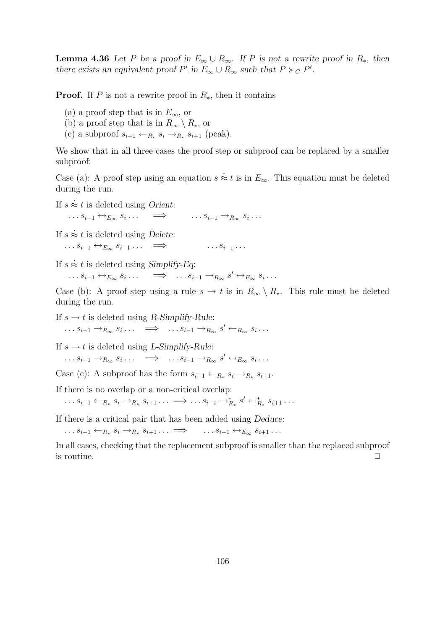**Lemma 4.36** Let P be a proof in  $E_{\infty} \cup R_{\infty}$ . If P is not a rewrite proof in  $R_*$ , then *there exists an equivalent proof*  $P'$  in  $E_{\infty} \cup R_{\infty}$  *such that*  $P \succ_C P'$ *.* 

**Proof.** If P is not a rewrite proof in  $R_{\ast}$ , then it contains

- (a) a proof step that is in  $E_{\infty}$ , or
- (b) a proof step that is in  $R_{\infty} \setminus R_*,$  or
- (c) a subproof  $s_{i-1} \leftarrow_{R_*} s_i \rightarrow_{R_*} s_{i+1}$  (peak).

We show that in all three cases the proof step or subproof can be replaced by a smaller subproof: .

Case (a): A proof step using an equation  $s$  $\approx t$  is in  $E_{\infty}$ . This equation must be deleted during the run. .

If  $s \approx t$  is deleted using *Orient*:

 $\ldots s_{i-1} \leftrightarrow_{E_{\infty}} s_i$  $\dots$   $\implies$   $\dots s_{i-1} \rightarrow_{R_{\infty}} s_i \dots$ .

If  $s \approx t$  is deleted using *Delete*:

```
\dots s_{i-1} \leftrightarrow_{E_{\infty}} s_{i-1} \dots \implies \dots s_{i-1} \dots.<br>.
```
If  $s \approx t$  is deleted using *Simplify-Eq*:

 $\dots s_{i-1} \leftrightarrow_{E_{\infty}} s_i \dots \quad \implies \quad \dots s_{i-1} \to_{R_{\infty}} s' \leftrightarrow_{E_{\infty}} s_i \dots$ 

Case (b): A proof step using a rule  $s \to t$  is in  $R_{\infty} \setminus R_*$ . This rule must be deleted during the run.

If  $s \rightarrow t$  is deleted using *R-Simplify-Rule*:  $\dots s_{i-1} \rightarrow_{R_{\infty}} s_i \dots \implies \dots s_{i-1} \rightarrow_{R_{\infty}} s' \leftarrow_{R_{\infty}} s_i \dots$ 

If  $s \rightarrow t$  is deleted using *L-Simplify-Rule*:

 $\dots s_{i-1} \rightarrow_{R_{\infty}} s_i \dots \implies \dots s_{i-1} \rightarrow_{R_{\infty}} s' \leftrightarrow_{E_{\infty}} s_i \dots$ 

Case (c): A subproof has the form  $s_{i-1} \leftarrow_{R_*} s_i \rightarrow_{R_*} s_{i+1}$ .

If there is no overlap or a non-critical overlap:

 $\dots s_{i-1} \leftarrow_{R_*} s_i \rightarrow_{R_*} s_{i+1} \dots \implies \dots s_{i-1} \rightarrow_{R_*}^* s' \leftarrow_{R_*}^* s_{i+1} \dots$ 

If there is a critical pair that has been added using *Deduce*:

 $\ldots s_{i-1} \leftarrow R_* s_i \rightarrow R_*$  $s_{i-1} \leftrightarrow_{E_{\infty}} s_{i+1} \dots$ 

In all cases, checking that the replacement subproof is smaller than the replaced subproof is routine.  $\Box$